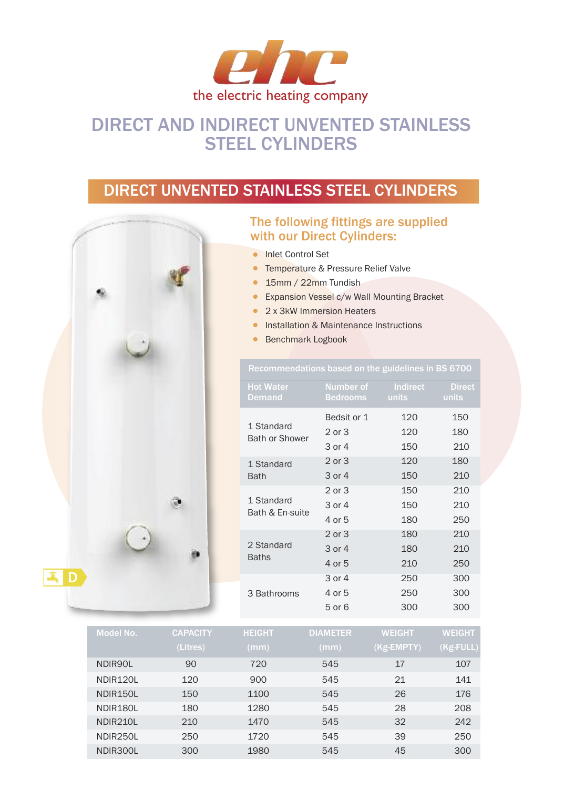

# DIRECT AND INDIRECT UNVENTED STAINLESS STEEL CYLINDERS

## DIRECT UNVENTED STAINLESS STEEL CYLINDERS



### The following fittings are supplied with our Direct Cylinders:

- Inlet Control Set
	- Temperature & Pressure Relief Valve
- 15mm / 22mm Tundish
- Expansion Vessel c/w Wall Mounting Bracket
- 2 x 3kW Immersion Heaters
- **•** Installation & Maintenance Instructions
- Benchmark Logbook

| <b>Hot Water</b><br><b>Demand</b>   | <b>Number of</b><br><b>Bedrooms</b> | <b>Indirect</b><br>units | <b>Direct</b><br>units |
|-------------------------------------|-------------------------------------|--------------------------|------------------------|
|                                     | Bedsit or 1                         | 120                      | 150                    |
| 1 Standard<br><b>Bath or Shower</b> | 2 or 3                              | 120                      | 180                    |
|                                     | 3 or 4                              | 150                      | 210                    |
| 1 Standard                          | 2 or 3                              | 120                      | 180                    |
| <b>Bath</b>                         | 3 or 4                              | 150                      | 210                    |
|                                     | 2 or 3                              | 150                      | 210                    |
| 1 Standard<br>Bath & En-suite       | 3 or 4                              | 150                      | 210                    |
|                                     | 4 or 5                              | 180                      | 250                    |
|                                     | 2 or 3                              | 180                      | 210                    |
| 2 Standard                          | 3 or 4                              | 180                      | 210                    |
| <b>Baths</b>                        | 4 or 5                              | 210                      | 250                    |
|                                     | 3 or 4                              | 250                      | 300                    |
| 3 Bathrooms                         | 4 or 5                              | 250                      | 300                    |
|                                     | 5 or 6                              | 300                      | 300                    |

| Model No.             | <b>CAPACITY</b> | <b>HEIGHT</b> | <b>DIAMETER</b> | <b>WEIGHT</b> | <b>WEIGHT</b> |
|-----------------------|-----------------|---------------|-----------------|---------------|---------------|
|                       | (Litres)        | (mm)          | (mm)            | $(Kg$ -EMPTY) | $(Kg$ -FULL)  |
| NDIR90L               | 90              | 720           | 545             | 17            | 107           |
| NDIR <sub>120L</sub>  | 120             | 900           | 545             | 21            | 141           |
| NDIR <sub>150L</sub>  | 150             | 1100          | 545             | 26            | 176           |
| NDIR <sub>180</sub> L | 180             | 1280          | 545             | 28            | 208           |
| NDIR210L              | 210             | 1470          | 545             | 32            | 242           |
| NDIR <sub>250L</sub>  | 250             | 1720          | 545             | 39            | 250           |
| NDIR300L              | 300             | 1980          | 545             | 45            | 300           |